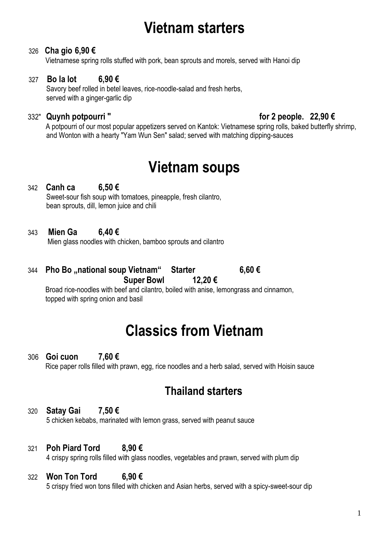# **Vietnam starters**

#### 326 **Cha gio 6,90 €**

Vietnamese spring rolls stuffed with pork, bean sprouts and morels, served with Hanoi dip

#### 327 **Bo la lot 6,90 €**

Savory beef rolled in betel leaves, rice-noodle-salad and fresh herbs, served with a ginger-garlic dip

#### 332" **Quynh potpourri " for 2 people. 22,90 €**

 A potpourri of our most popular appetizers served on Kantok: Vietnamese spring rolls, baked butterfly shrimp, and Wonton with a hearty "Yam Wun Sen" salad; served with matching dipping-sauces

# **Vietnam soups**

342 **Canh ca 6,50 €** Sweet-sour fish soup with tomatoes, pineapple, fresh cilantro, bean sprouts, dill, lemon juice and chili

#### 343 **Mien Ga 6,40 €**

Mien glass noodles with chicken, bamboo sprouts and cilantro

344 **Pho Bo "national soup Vietnam" Starter 6,60 € Super Bowl 12,20 €**

Broad rice-noodles with beef and cilantro, boiled with anise, lemongrass and cinnamon, topped with spring onion and basil

# **Classics from Vietnam**

306 **Goi cuon 7,60 €** Rice paper rolls filled with prawn, egg, rice noodles and a herb salad, served with Hoisin sauce

## **Thailand starters**

#### 320 **Satay Gai 7,50 €**

5 chicken kebabs, marinated with lemon grass, served with peanut sauce

#### 321 **Poh Piard Tord 8,90 €**

4 crispy spring rolls filled with glass noodles, vegetables and prawn, served with plum dip

## 322 **Won Ton Tord 6,90 €**

5 crispy fried won tons filled with chicken and Asian herbs, served with a spicy-sweet-sour dip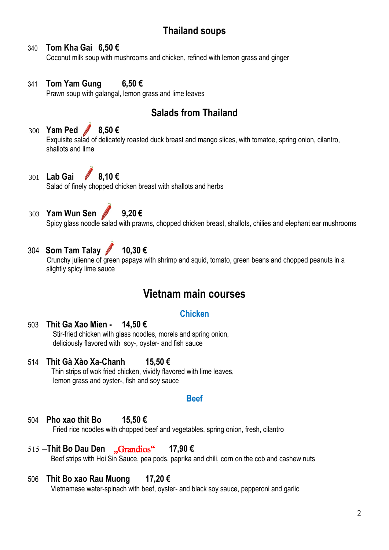## **Thailand soups**

## 340 **Tom Kha Gai 6,50 €**

Coconut milk soup with mushrooms and chicken, refined with lemon grass and ginger

## 341 **Tom Yam Gung 6,50 €**

Prawn soup with galangal, lemon grass and lime leaves

## **Salads from Thailand**

#### 300 **Yam Ped 8,50 €** Exquisite salad of delicately roasted duck breast and mango slices, with tomatoe, spring onion, cilantro, shallots and lime

# 301 **Lab Gai 8,10 €**

Salad of finely chopped chicken breast with shallots and herbs

# 303 **Yam Wun Sen 9,20 €**

Spicy glass noodle salad with prawns, chopped chicken breast, shallots, chilies and elephant ear mushrooms

## 304 **Som Tam Talay 10,30 €**

 Crunchy julienne of green papaya with shrimp and squid, tomato, green beans and chopped peanuts in a slightly spicy lime sauce

## **Vietnam main courses**

## **Chicken**

## 503 **Thit Ga Xao Mien - 14,50 €**

Stir-fried chicken with glass noodles, morels and spring onion, deliciously flavored with soy-, oyster- and fish sauce

## 514 **Thit Gà Xào Xa-Chanh 15,50 €**

Thin strips of wok fried chicken, vividly flavored with lime leaves, lemon grass and oyster-, fish and soy sauce

#### **Beef**

## 504 **Pho xao thit Bo 15,50 €**

Fried rice noodles with chopped beef and vegetables, spring onion, fresh, cilantro

#### <sup>515</sup> –**Thit Bo Dau Den** "Grandios" **17,90 €**

Beef strips with Hoi Sin Sauce, pea pods, paprika and chili, corn on the cob and cashew nuts

## 506 **Thit Bo xao Rau Muong 17,20 €**

Vietnamese water-spinach with beef, oyster- and black soy sauce, pepperoni and garlic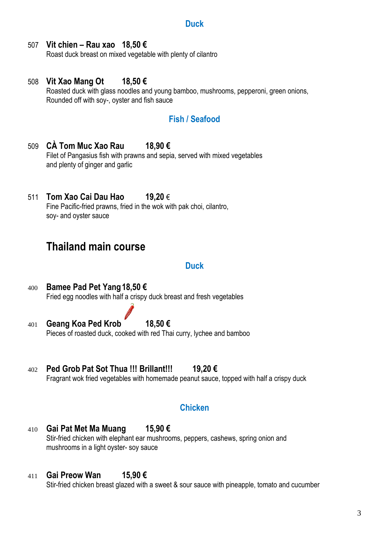#### **Duck**

## 507 **Vit chien – Rau xao 18,50 €**

Roast duck breast on mixed vegetable with plenty of cilantro

508 **Vit Xao Mang Ot 18,50 €** Roasted duck with glass noodles and young bamboo, mushrooms, pepperoni, green onions, Rounded off with soy-, oyster and fish sauce

## **Fish / Seafood**

- 509 **CÀ Tom Muc Xao Rau 18,90 €** Filet of Pangasius fish with prawns and sepia, served with mixed vegetables and plenty of ginger and garlic
- 511 **Tom Xao Cai Dau Hao 19,20** € Fine Pacific-fried prawns, fried in the wok with pak choi, cilantro, soy- and oyster sauce

## **Thailand main course**

#### **Duck**

- 400 **Bamee Pad Pet Yang18,50 €** Fried egg noodles with half a crispy duck breast and fresh vegetables
- 401 **Geang Koa Ped Krob 18,50 €** Pieces of roasted duck, cooked with red Thai curry, lychee and bamboo
- 402 **Ped Grob Pat Sot Thua !!! Brillant!!! 19,20 €** Fragrant wok fried vegetables with homemade peanut sauce, topped with half a crispy duck

## **Chicken**

410 **Gai Pat Met Ma Muang 15,90 €** Stir-fried chicken with elephant ear mushrooms, peppers, cashews, spring onion and mushrooms in a light oyster- soy sauce

#### 411 **Gai Preow Wan 15,90 €**

Stir-fried chicken breast glazed with a sweet & sour sauce with pineapple, tomato and cucumber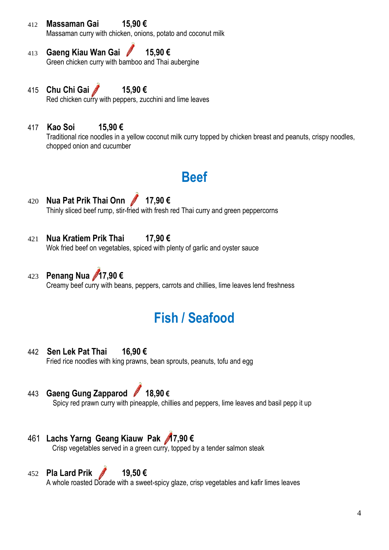## 412 **Massaman Gai 15,90 €**

Massaman curry with chicken, onions, potato and coconut milk

- 413 **Gaeng Kiau Wan Gai 15,90 €** Green chicken curry with bamboo and Thai aubergine
- 415 **Chu Chi Gai 15,90 €** Red chicken curry with peppers, zucchini and lime leaves
- 417 **Kao Soi 15,90 €**

Traditional rice noodles in a yellow coconut milk curry topped by chicken breast and peanuts, crispy noodles, chopped onion and cucumber

# **Beef**

- 420 **Nua Pat Prik Thai Onn 17,90 €** Thinly sliced beef rump, stir-fried with fresh red Thai curry and green peppercorns
- 421 **Nua Kratiem Prik Thai 17,90 €** Wok fried beef on vegetables, spiced with plenty of garlic and oyster sauce
- 423 **Penang Nua 17,90 €** Creamy beef curry with beans, peppers, carrots and chillies, lime leaves lend freshness

# **Fish / Seafood**

## 442 **Sen Lek Pat Thai 16,90 €**

Fried rice noodles with king prawns, bean sprouts, peanuts, tofu and egg

443 **Gaeng Gung Zapparod 18,90 €**

Spicy red prawn curry with pineapple, chillies and peppers, lime leaves and basil pepp it up

## 461 **Lachs Yarng Geang Kiauw Pak 17,90 €**

Crisp vegetables served in a green curry, topped by a tender salmon steak

## 452 **Pla Lard Prik 19,50 €**

A whole roasted Dorade with a sweet-spicy glaze, crisp vegetables and kafir limes leaves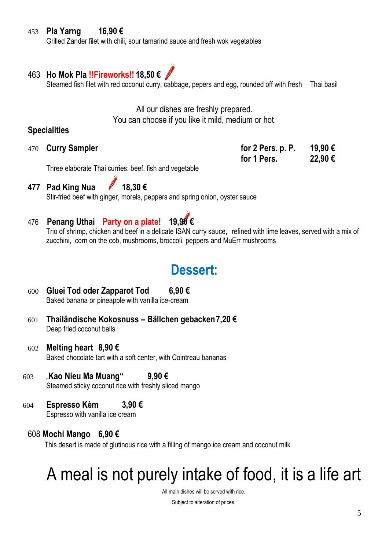## 453 **Pla Yarng 16,90 €**

Grilled Zander filet with chili, sour tamarind sauce and fresh wok vegetables

## 463 **Ho Mok Pla !!Fireworks!! 18,50 €**

Steamed fish filet with red coconut curry, cabbage, pepers and egg, rounded off with fresh Thai basil

All our dishes are freshly prepared. You can choose if you like it mild, medium or hot.

## **Specialities**

470 **Curry Sampler** 

| for 2 Pers. p. P. | 19,90€ |
|-------------------|--------|
| for 1 Pers.       | 22,90€ |

Three elaborate Thai curries: beef, fish and vegetable

**477 Pad King Nua 18,30 €** Stir-fried beef with ginger, morels, peppers and spring onion, oyster sauce

## 476 **Penang Uthai Party on a plate! 19,90 €**

Trio of shrimp, chicken and beef in a delicate ISAN curry sauce,refined with lime leaves, served with a mix of zucchini, corn on the cob, mushrooms, broccoli, peppers and MuErr mushrooms

## **Dessert:**

- 600 **Gluei Tod oder Zapparot Tod 6,90 €** Baked banana or pineapple with vanilla ice-cream
- 601 **Thailändische Kokosnuss – Bällchen gebacken7,20 €** Deep fried coconut balls
- 602 **Melting heart 8,90 €** Baked chocolate tart with a soft center, with Cointreau bananas
- 603 "**Kao Nieu Ma Muang" 9,90 €** Steamed sticky coconut rice with freshly sliced mango
- 604 **Espresso Kèm 3,90 €** Espresso with vanilla ice cream

## 608 **Mochi Mango 6,90 €**

This desert is made of glutinous rice with a filling of mango ice cream and coconut milk

# A meal is not purely intake of food, it is a life art

All main dishes will be served with rice.

Subject to alteration of prices.